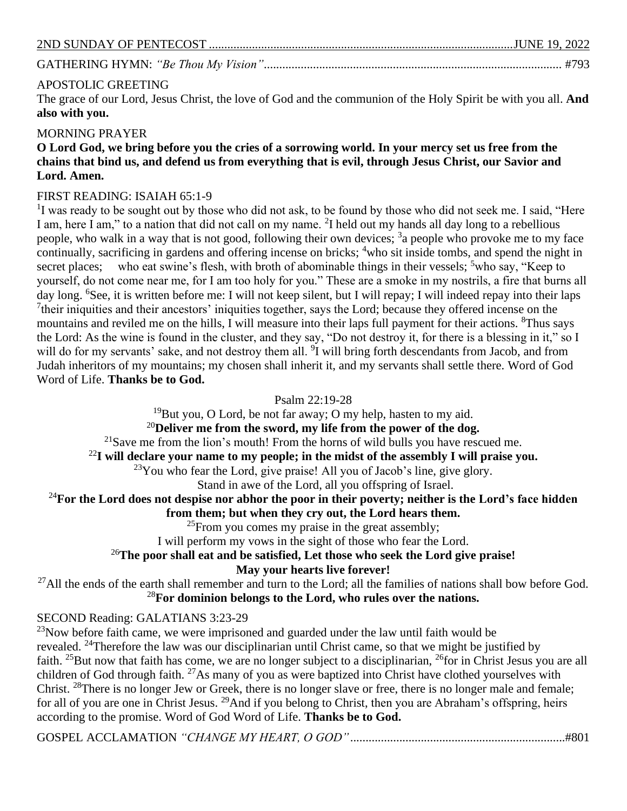# APOSTOLIC GREETING

The grace of our Lord, Jesus Christ, the love of God and the communion of the Holy Spirit be with you all. **And also with you.**

## MORNING PRAYER

**O Lord God, we bring before you the cries of a sorrowing world. In your mercy set us free from the chains that bind us, and defend us from everything that is evil, through Jesus Christ, our Savior and Lord. Amen.**

## FIRST READING: ISAIAH 65:1-9

<sup>1</sup>I was ready to be sought out by those who did not ask, to be found by those who did not seek me. I said, "Here I am, here I am," to a nation that did not call on my name. <sup>2</sup>I held out my hands all day long to a rebellious people, who walk in a way that is not good, following their own devices; <sup>3</sup> a people who provoke me to my face continually, sacrificing in gardens and offering incense on bricks; <sup>4</sup>who sit inside tombs, and spend the night in secret places; who eat swine's flesh, with broth of abominable things in their vessels;  $5$ who say, "Keep to yourself, do not come near me, for I am too holy for you." These are a smoke in my nostrils, a fire that burns all day long. <sup>6</sup>See, it is written before me: I will not keep silent, but I will repay; I will indeed repay into their laps <sup>7</sup>their iniquities and their ancestors' iniquities together, says the Lord; because they offered incense on the mountains and reviled me on the hills, I will measure into their laps full payment for their actions. <sup>8</sup>Thus says the Lord: As the wine is found in the cluster, and they say, "Do not destroy it, for there is a blessing in it," so I will do for my servants' sake, and not destroy them all. <sup>9</sup>I will bring forth descendants from Jacob, and from Judah inheritors of my mountains; my chosen shall inherit it, and my servants shall settle there. Word of God Word of Life. **Thanks be to God.**

Psalm 22:19-28

<sup>19</sup>But you, O Lord, be not far away; O my help, hasten to my aid.

<sup>20</sup>**Deliver me from the sword, my life from the power of the dog.**

 $21$ Save me from the lion's mouth! From the horns of wild bulls you have rescued me.

<sup>22</sup>**I will declare your name to my people; in the midst of the assembly I will praise you.**

<sup>23</sup>You who fear the Lord, give praise! All you of Jacob's line, give glory.

Stand in awe of the Lord, all you offspring of Israel.

# <sup>24</sup>**For the Lord does not despise nor abhor the poor in their poverty; neither is the Lord's face hidden**

**from them; but when they cry out, the Lord hears them.**

 $^{25}$ From you comes my praise in the great assembly;

I will perform my vows in the sight of those who fear the Lord.

# <sup>26</sup>**The poor shall eat and be satisfied, Let those who seek the Lord give praise!**

**May your hearts live forever!**

 $^{27}$ All the ends of the earth shall remember and turn to the Lord; all the families of nations shall bow before God. <sup>28</sup>**For dominion belongs to the Lord, who rules over the nations.**

# SECOND Reading: GALATIANS 3:23-29

 $^{23}$ Now before faith came, we were imprisoned and guarded under the law until faith would be revealed. <sup>24</sup>Therefore the law was our disciplinarian until Christ came, so that we might be justified by faith. <sup>25</sup>But now that faith has come, we are no longer subject to a disciplinarian, <sup>26</sup>for in Christ Jesus you are all children of God through faith. <sup>27</sup>As many of you as were baptized into Christ have clothed yourselves with Christ. <sup>28</sup>There is no longer Jew or Greek, there is no longer slave or free, there is no longer male and female; for all of you are one in Christ Jesus. <sup>29</sup>And if you belong to Christ, then you are Abraham's offspring, heirs according to the promise. Word of God Word of Life. **Thanks be to God.**

GOSPEL ACCLAMATION *"CHANGE MY HEART, O GOD"*......................................................................#801